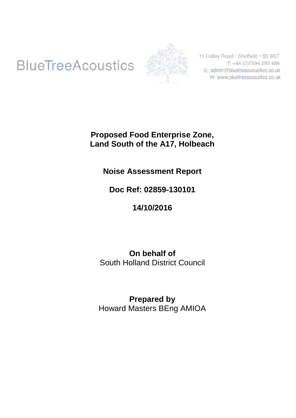# **BlueTreeAcoustics**



11 Colley Road · Sheffield · S5 9GT T: +44 (0)7594 293 486 E: admin@bluetreeacoustics.co.uk W: www.bluetreeacoustics.co.uk

### **Proposed Food Enterprise Zone, Land South of the A17, Holbeach**

### **Noise Assessment Report**

### **Doc Ref: 02859-130101**

## **14/10/2016**

### **On behalf of** South Holland District Council

### **Prepared by** Howard Masters BEng AMIOA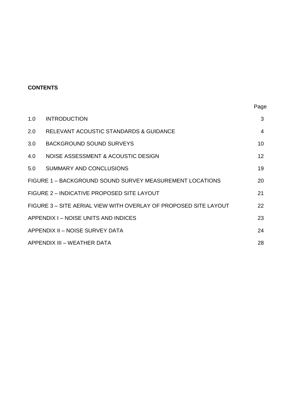### **CONTENTS**

| 1.0                                        | <b>INTRODUCTION</b>                                              | 3                 |  |  |  |
|--------------------------------------------|------------------------------------------------------------------|-------------------|--|--|--|
| 2.0                                        | RELEVANT ACOUSTIC STANDARDS & GUIDANCE                           | 4                 |  |  |  |
| 3.0                                        | BACKGROUND SOUND SURVEYS                                         | 10                |  |  |  |
| 4.0                                        | NOISE ASSESSMENT & ACOUSTIC DESIGN                               | $12 \overline{ }$ |  |  |  |
| 5.0                                        | SUMMARY AND CONCLUSIONS                                          | 19                |  |  |  |
|                                            | FIGURE 1 – BACKGROUND SOUND SURVEY MEASUREMENT LOCATIONS         | 20                |  |  |  |
|                                            | FIGURE 2 - INDICATIVE PROPOSED SITE LAYOUT                       | 21                |  |  |  |
|                                            | FIGURE 3 - SITE AERIAL VIEW WITH OVERLAY OF PROPOSED SITE LAYOUT | 22                |  |  |  |
| APPENDIX I – NOISE UNITS AND INDICES<br>23 |                                                                  |                   |  |  |  |
| APPENDIX II - NOISE SURVEY DATA<br>24      |                                                                  |                   |  |  |  |
|                                            | APPENDIX III – WEATHER DATA                                      | 28                |  |  |  |

Page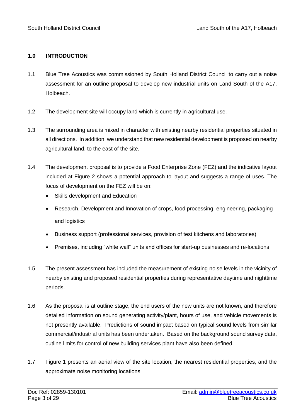#### **1.0 INTRODUCTION**

- 1.1 Blue Tree Acoustics was commissioned by South Holland District Council to carry out a noise assessment for an outline proposal to develop new industrial units on Land South of the A17, Holbeach.
- 1.2 The development site will occupy land which is currently in agricultural use.
- 1.3 The surrounding area is mixed in character with existing nearby residential properties situated in all directions. In addition, we understand that new residential development is proposed on nearby agricultural land, to the east of the site.
- 1.4 The development proposal is to provide a Food Enterprise Zone (FEZ) and the indicative layout included at Figure 2 shows a potential approach to layout and suggests a range of uses. The focus of development on the FEZ will be on:
	- Skills development and Education
	- Research, Development and Innovation of crops, food processing, engineering, packaging and logistics
	- Business support (professional services, provision of test kitchens and laboratories)
	- Premises, including "white wall" units and offices for start-up businesses and re-locations
- 1.5 The present assessment has included the measurement of existing noise levels in the vicinity of nearby existing and proposed residential properties during representative daytime and nighttime periods.
- 1.6 As the proposal is at outline stage, the end users of the new units are not known, and therefore detailed information on sound generating activity/plant, hours of use, and vehicle movements is not presently available. Predictions of sound impact based on typical sound levels from similar commercial/industrial units has been undertaken. Based on the background sound survey data, outline limits for control of new building services plant have also been defined.
- 1.7 Figure 1 presents an aerial view of the site location, the nearest residential properties, and the approximate noise monitoring locations.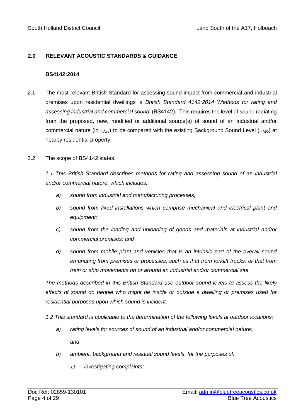#### **2.0 RELEVANT ACOUSTIC STANDARDS & GUIDANCE**

#### **BS4142:2014**

- 2.1 The most relevant British Standard for assessing sound impact from commercial and industrial premises upon residential dwellings is *British Standard 4142:2014* '*Methods for rating and assessing industrial and commercial sound*' (BS4142). This requires the level of sound radiating from the proposed, new, modified or additional source(s) of sound of an industrial and/or commercial nature (in  $L_{Aeq}$ ) to be compared with the existing Background Sound Level ( $L_{A90}$ ) at nearby residential property.
- 2.2 The scope of BS4142 states:

*1.1 This British Standard describes methods for rating and assessing sound of an industrial and/or commercial nature, which includes:*

- *a) sound from industrial and manufacturing processes;*
- *b) sound from fixed installations which comprise mechanical and electrical plant and equipment;*
- *c) sound from the loading and unloading of goods and materials at industrial and/or commercial premises; and*
- *d) sound from mobile plant and vehicles that is an intrinsic part of the overall sound emanating from premises or processes, such as that from forklift trucks, or that from train or ship movements on or around an industrial and/or commercial site.*

*The methods described in this British Standard use outdoor sound levels to assess the likely effects of sound on people who might be inside or outside a dwelling or premises used for residential purposes upon which sound is incident.*

*1.2 This standard is applicable to the determination of the following levels at outdoor locations:*

- *a) rating levels for sources of sound of an industrial and/or commercial nature; and*
- *b) ambient, background and residual sound levels, for the purposes of:*
	- *1) investigating complaints;*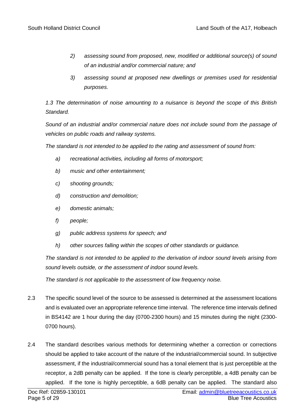- *2) assessing sound from proposed, new, modified or additional source(s) of sound of an industrial and/or commercial nature; and*
- *3) assessing sound at proposed new dwellings or premises used for residential purposes.*

*1.3 The determination of noise amounting to a nuisance is beyond the scope of this British Standard.*

*Sound of an industrial and/or commercial nature does not include sound from the passage of vehicles on public roads and railway systems.*

*The standard is not intended to be applied to the rating and assessment of sound from:*

- *a) recreational activities, including all forms of motorsport;*
- *b) music and other entertainment;*
- *c) shooting grounds;*
- *d) construction and demolition;*
- *e) domestic animals;*
- *f) people;*
- *g) public address systems for speech; and*
- *h) other sources falling within the scopes of other standards or guidance.*

*The standard is not intended to be applied to the derivation of indoor sound levels arising from sound levels outside, or the assessment of indoor sound levels.*

*The standard is not applicable to the assessment of low frequency noise.*

- 2.3 The specific sound level of the source to be assessed is determined at the assessment locations and is evaluated over an appropriate reference time interval. The reference time intervals defined in BS4142 are 1 hour during the day (0700-2300 hours) and 15 minutes during the night (2300- 0700 hours).
- 2.4 The standard describes various methods for determining whether a correction or corrections should be applied to take account of the nature of the industrial/commercial sound. In subjective assessment, if the industrial/commercial sound has a tonal element that is just perceptible at the receptor, a 2dB penalty can be applied. If the tone is clearly perceptible, a 4dB penalty can be applied. If the tone is highly perceptible, a 6dB penalty can be applied. The standard also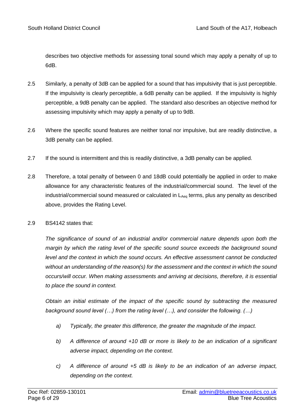describes two objective methods for assessing tonal sound which may apply a penalty of up to 6dB.

- 2.5 Similarly, a penalty of 3dB can be applied for a sound that has impulsivity that is just perceptible. If the impulsivity is clearly perceptible, a 6dB penalty can be applied. If the impulsivity is highly perceptible, a 9dB penalty can be applied. The standard also describes an objective method for assessing impulsivity which may apply a penalty of up to 9dB.
- 2.6 Where the specific sound features are neither tonal nor impulsive, but are readily distinctive, a 3dB penalty can be applied.
- 2.7 If the sound is intermittent and this is readily distinctive, a 3dB penalty can be applied.
- 2.8 Therefore, a total penalty of between 0 and 18dB could potentially be applied in order to make allowance for any characteristic features of the industrial/commercial sound. The level of the industrial/commercial sound measured or calculated in LA<sub>eq</sub> terms, plus any penalty as described above, provides the Rating Level.

#### 2.9 BS4142 states that:

*The significance of sound of an industrial and/or commercial nature depends upon both the margin by which the rating level of the specific sound source exceeds the background sound level and the context in which the sound occurs. An effective assessment cannot be conducted without an understanding of the reason(s) for the assessment and the context in which the sound occurs/will occur. When making assessments and arriving at decisions, therefore, it is essential to place the sound in context.*

*Obtain an initial estimate of the impact of the specific sound by subtracting the measured background sound level (…) from the rating level (…), and consider the following. (…)*

- *a) Typically, the greater this difference, the greater the magnitude of the impact.*
- *b) A difference of around +10 dB or more is likely to be an indication of a significant adverse impact, depending on the context.*
- *c) A difference of around +5 dB is likely to be an indication of an adverse impact, depending on the context.*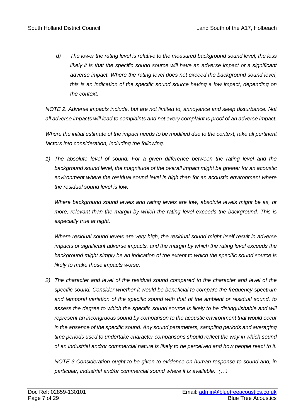*d) The lower the rating level is relative to the measured background sound level, the less*  likely it is that the specific sound source will have an adverse impact or a significant *adverse impact. Where the rating level does not exceed the background sound level, this is an indication of the specific sound source having a low impact, depending on the context.*

*NOTE 2. Adverse impacts include, but are not limited to, annoyance and sleep disturbance. Not all adverse impacts will lead to complaints and not every complaint is proof of an adverse impact.*

*Where the initial estimate of the impact needs to be modified due to the context, take all pertinent factors into consideration, including the following.*

*1) The absolute level of sound. For a given difference between the rating level and the background sound level, the magnitude of the overall impact might be greater for an acoustic environment where the residual sound level is high than for an acoustic environment where the residual sound level is low.*

*Where background sound levels and rating levels are low, absolute levels might be as, or more, relevant than the margin by which the rating level exceeds the background. This is especially true at night.*

*Where residual sound levels are very high, the residual sound might itself result in adverse impacts or significant adverse impacts, and the margin by which the rating level exceeds the background might simply be an indication of the extent to which the specific sound source is likely to make those impacts worse.*

*2) The character and level of the residual sound compared to the character and level of the specific sound. Consider whether it would be beneficial to compare the frequency spectrum and temporal variation of the specific sound with that of the ambient or residual sound, to assess the degree to which the specific sound source is likely to be distinguishable and will represent an incongruous sound by comparison to the acoustic environment that would occur in the absence of the specific sound. Any sound parameters, sampling periods and averaging time periods used to undertake character comparisons should reflect the way in which sound of an industrial and/or commercial nature is likely to be perceived and how people react to it.*

*NOTE 3 Consideration ought to be given to evidence on human response to sound and, in particular, industrial and/or commercial sound where it is available. (…)*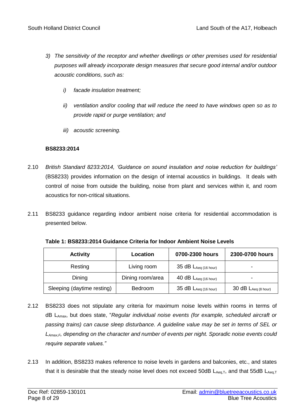- *3) The sensitivity of the receptor and whether dwellings or other premises used for residential purposes will already incorporate design measures that secure good internal and/or outdoor acoustic conditions, such as:* 
	- *i) facade insulation treatment;*
	- *ii) ventilation and/or cooling that will reduce the need to have windows open so as to provide rapid or purge ventilation; and*
	- *iii) acoustic screening.*

#### **BS8233:2014**

- 2.10 *British Standard 8233:2014, 'Guidance on sound insulation and noise reduction for buildings'*  (BS8233) provides information on the design of internal acoustics in buildings. It deals with control of noise from outside the building, noise from plant and services within it, and room acoustics for non-critical situations.
- 2.11 BS8233 guidance regarding indoor ambient noise criteria for residential accommodation is presented below.

| <b>Activity</b>            | Location         | 0700-2300 hours                    | 2300-0700 hours            |
|----------------------------|------------------|------------------------------------|----------------------------|
| Resting                    | Living room      | $35$ dB $L_{Aeq}$ (16 hour)        |                            |
| Dining                     | Dining room/area | 40 $dB$ $L_{Aeq}$ (16 hour)        | ۰                          |
| Sleeping (daytime resting) | <b>Bedroom</b>   | $35$ dB $L_{Aeq(16 \text{ hour})}$ | $30$ dB $L_{Aeq}$ (8 hour) |

**Table 1: BS8233:2014 Guidance Criteria for Indoor Ambient Noise Levels**

- 2.12 BS8233 does not stipulate any criteria for maximum noise levels within rooms in terms of dB LAmax, but does state, "*Regular individual noise events (for example, scheduled aircraft or passing trains) can cause sleep disturbance. A guideline value may be set in terms of SEL or LAmax,F, depending on the character and number of events per night. Sporadic noise events could require separate values."*
- 2.13 In addition, BS8233 makes reference to noise levels in gardens and balconies, etc., and states that it is desirable that the steady noise level does not exceed 50dB  $L_{Aeq,T}$ , and that 55dB  $L_{Aeq,T}$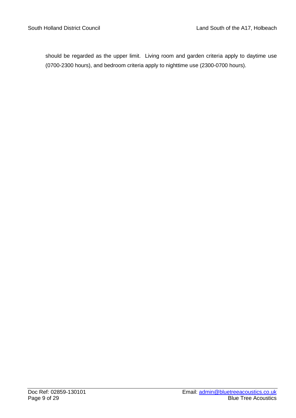should be regarded as the upper limit. Living room and garden criteria apply to daytime use (0700-2300 hours), and bedroom criteria apply to nighttime use (2300-0700 hours).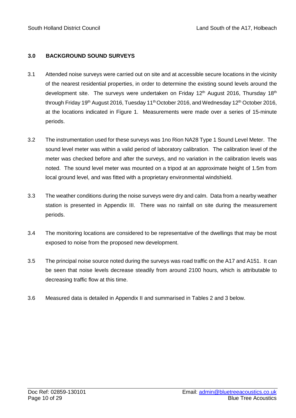#### **3.0 BACKGROUND SOUND SURVEYS**

- 3.1 Attended noise surveys were carried out on site and at accessible secure locations in the vicinity of the nearest residential properties, in order to determine the existing sound levels around the development site. The surveys were undertaken on Friday  $12<sup>th</sup>$  August 2016, Thursday  $18<sup>th</sup>$ through Friday 19<sup>th</sup> August 2016, Tuesday 11<sup>th</sup> October 2016, and Wednesday 12<sup>th</sup> October 2016, at the locations indicated in Figure 1. Measurements were made over a series of 15-minute periods.
- 3.2 The instrumentation used for these surveys was 1no Rion NA28 Type 1 Sound Level Meter. The sound level meter was within a valid period of laboratory calibration. The calibration level of the meter was checked before and after the surveys, and no variation in the calibration levels was noted. The sound level meter was mounted on a tripod at an approximate height of 1.5m from local ground level, and was fitted with a proprietary environmental windshield.
- 3.3 The weather conditions during the noise surveys were dry and calm. Data from a nearby weather station is presented in Appendix III. There was no rainfall on site during the measurement periods.
- 3.4 The monitoring locations are considered to be representative of the dwellings that may be most exposed to noise from the proposed new development.
- 3.5 The principal noise source noted during the surveys was road traffic on the A17 and A151. It can be seen that noise levels decrease steadily from around 2100 hours, which is attributable to decreasing traffic flow at this time.
- 3.6 Measured data is detailed in Appendix II and summarised in Tables 2 and 3 below.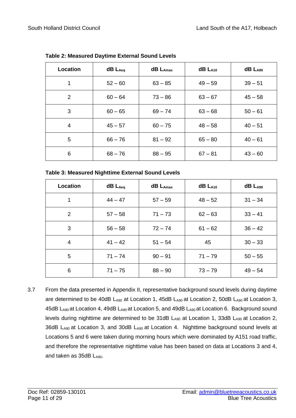| Location       | $dB$ $L_{Aeq}$ | $dB$ $L_{Amax}$ | $dB$ $L_{A10}$ | $dB$ $LA90$ |
|----------------|----------------|-----------------|----------------|-------------|
| 1              | $52 - 60$      | $63 - 85$       | $49 - 59$      | $39 - 51$   |
| $\overline{2}$ | $60 - 64$      | $73 - 86$       | $63 - 67$      | $45 - 58$   |
| 3              | $60 - 65$      | $69 - 74$       | $63 - 68$      | $50 - 61$   |
| 4              | $45 - 57$      | $60 - 75$       | $48 - 58$      | $40 - 51$   |
| 5              | $66 - 76$      | $81 - 92$       | $65 - 80$      | $40 - 61$   |
| 6              | $68 - 76$      | $88 - 95$       | $67 - 81$      | $43 - 60$   |

**Table 2: Measured Daytime External Sound Levels**

| Location | $dB$ $L_{Aeq}$ | $dB$ $L_{A max}$ | $dB$ $LA10$ | $dB$ $LA90$ |
|----------|----------------|------------------|-------------|-------------|
| 1        | $44 - 47$      | $57 - 59$        | $48 - 52$   | $31 - 34$   |
| 2        | $57 - 58$      | $71 - 73$        | $62 - 63$   | $33 - 41$   |
| 3        | $56 - 58$      | $72 - 74$        | $61 - 62$   | $36 - 42$   |
| 4        | $41 - 42$      | $51 - 54$        | 45          | $30 - 33$   |
| 5        | $71 - 74$      | $90 - 91$        | $71 - 79$   | $50 - 55$   |
| 6        | $71 - 75$      | $88 - 90$        | $73 - 79$   | $49 - 54$   |

3.7 From the data presented in Appendix II, representative background sound levels during daytime are determined to be 40dB LA90 at Location 1, 45dB LA90 at Location 2, 50dB LA90 at Location 3, 45dB LA90 at Location 4, 49dB LA90 at Location 5, and 49dB LA90 at Location 6. Background sound levels during nighttime are determined to be 31dB  $L_{A90}$  at Location 1, 33dB  $L_{A90}$  at Location 2, 36dB LA90 at Location 3, and 30dB LA90 at Location 4. Nighttime background sound levels at Locations 5 and 6 were taken during morning hours which were dominated by A151 road traffic, and therefore the representative nighttime value has been based on data at Locations 3 and 4, and taken as 35dB LA90.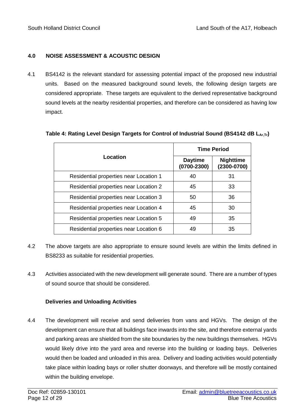#### **4.0 NOISE ASSESSMENT & ACOUSTIC DESIGN**

4.1 BS4142 is the relevant standard for assessing potential impact of the proposed new industrial units. Based on the measured background sound levels, the following design targets are considered appropriate. These targets are equivalent to the derived representative background sound levels at the nearby residential properties, and therefore can be considered as having low impact.

|                                        | <b>Time Period</b>                |                                     |  |  |  |
|----------------------------------------|-----------------------------------|-------------------------------------|--|--|--|
| Location                               | <b>Daytime</b><br>$(0700 - 2300)$ | <b>Nighttime</b><br>$(2300 - 0700)$ |  |  |  |
| Residential properties near Location 1 | 40                                | 31                                  |  |  |  |
| Residential properties near Location 2 | 45                                | 33                                  |  |  |  |
| Residential properties near Location 3 | 50                                | 36                                  |  |  |  |
| Residential properties near Location 4 | 45                                | 30                                  |  |  |  |
| Residential properties near Location 5 | 49                                | 35                                  |  |  |  |
| Residential properties near Location 6 | 49                                | 35                                  |  |  |  |

#### **Table 4: Rating Level Design Targets for Control of Industrial Sound (BS4142 dB LAr,Tr)**

- 4.2 The above targets are also appropriate to ensure sound levels are within the limits defined in BS8233 as suitable for residential properties.
- 4.3 Activities associated with the new development will generate sound. There are a number of types of sound source that should be considered.

#### **Deliveries and Unloading Activities**

4.4 The development will receive and send deliveries from vans and HGVs. The design of the development can ensure that all buildings face inwards into the site, and therefore external yards and parking areas are shielded from the site boundaries by the new buildings themselves. HGVs would likely drive into the yard area and reverse into the building or loading bays. Deliveries would then be loaded and unloaded in this area. Delivery and loading activities would potentially take place within loading bays or roller shutter doorways, and therefore will be mostly contained within the building envelope.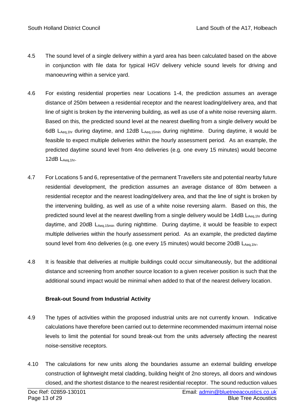- 4.5 The sound level of a single delivery within a yard area has been calculated based on the above in conjunction with file data for typical HGV delivery vehicle sound levels for driving and manoeuvring within a service yard.
- 4.6 For existing residential properties near Locations 1-4, the prediction assumes an average distance of 250m between a residential receptor and the nearest loading/delivery area, and that line of sight is broken by the intervening building, as well as use of a white noise reversing alarm. Based on this, the predicted sound level at the nearest dwelling from a single delivery would be 6dB LAeq, thr during daytime, and 12dB LAeq, 15min during nighttime. During daytime, it would be feasible to expect multiple deliveries within the hourly assessment period. As an example, the predicted daytime sound level from 4no deliveries (e.g. one every 15 minutes) would become 12dB LAeq,1hr.
- 4.7 For Locations 5 and 6, representative of the permanent Travellers site and potential nearby future residential development, the prediction assumes an average distance of 80m between a residential receptor and the nearest loading/delivery area, and that the line of sight is broken by the intervening building, as well as use of a white noise reversing alarm. Based on this, the predicted sound level at the nearest dwelling from a single delivery would be 14dB LAeq, 1hr during daytime, and 20dB LAeq,15min during nighttime. During daytime, it would be feasible to expect multiple deliveries within the hourly assessment period. As an example, the predicted daytime sound level from 4no deliveries (e.g. one every 15 minutes) would become 20dB LAeq,1hr.
- 4.8 It is feasible that deliveries at multiple buildings could occur simultaneously, but the additional distance and screening from another source location to a given receiver position is such that the additional sound impact would be minimal when added to that of the nearest delivery location.

#### **Break-out Sound from Industrial Activity**

- 4.9 The types of activities within the proposed industrial units are not currently known. Indicative calculations have therefore been carried out to determine recommended maximum internal noise levels to limit the potential for sound break-out from the units adversely affecting the nearest noise-sensitive receptors.
- 4.10 The calculations for new units along the boundaries assume an external building envelope construction of lightweight metal cladding, building height of 2no storeys, all doors and windows closed, and the shortest distance to the nearest residential receptor. The sound reduction values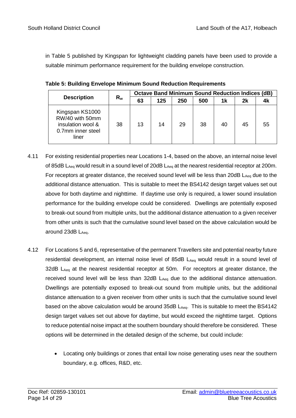in Table 5 published by Kingspan for lightweight cladding panels have been used to provide a suitable minimum performance requirement for the building envelope construction.

|                                                                                       |       | <b>Octave Band Minimum Sound Reduction Indices (dB)</b> |     |     |     |    |    |    |  |
|---------------------------------------------------------------------------------------|-------|---------------------------------------------------------|-----|-----|-----|----|----|----|--|
| <b>Description</b>                                                                    | $R_w$ | 63                                                      | 125 | 250 | 500 | 1k | 2k |    |  |
| Kingspan KS1000<br>RW/40 with 50mm<br>insulation wool &<br>0.7mm inner steel<br>liner | 38    | 13                                                      | 14  | 29  | 38  | 40 | 45 | 55 |  |

**Table 5: Building Envelope Minimum Sound Reduction Requirements**

- 4.11 For existing residential properties near Locations 1-4, based on the above, an internal noise level of 85dB LAeq would result in a sound level of 20dB LAeq at the nearest residential receptor at 200m. For receptors at greater distance, the received sound level will be less than 20dB  $L_{Aeq}$  due to the additional distance attenuation. This is suitable to meet the BS4142 design target values set out above for both daytime and nighttime. If daytime use only is required, a lower sound insulation performance for the building envelope could be considered. Dwellings are potentially exposed to break-out sound from multiple units, but the additional distance attenuation to a given receiver from other units is such that the cumulative sound level based on the above calculation would be around  $23dB$   $L_{Aeq}$ .
- 4.12 For Locations 5 and 6, representative of the permanent Travellers site and potential nearby future residential development, an internal noise level of 85dB LAeq would result in a sound level of 32dB LAeq at the nearest residential receptor at 50m. For receptors at greater distance, the received sound level will be less than  $32dB$  L<sub>Aeq</sub> due to the additional distance attenuation. Dwellings are potentially exposed to break-out sound from multiple units, but the additional distance attenuation to a given receiver from other units is such that the cumulative sound level based on the above calculation would be around 35dB LAeq. This is suitable to meet the BS4142 design target values set out above for daytime, but would exceed the nighttime target. Options to reduce potential noise impact at the southern boundary should therefore be considered. These options will be determined in the detailed design of the scheme, but could include:
	- Locating only buildings or zones that entail low noise generating uses near the southern boundary, e.g. offices, R&D, etc.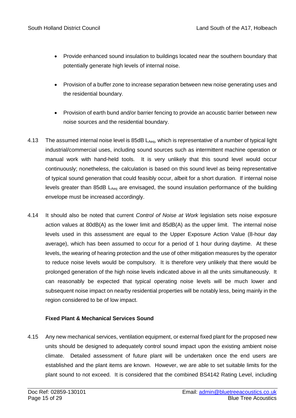- Provide enhanced sound insulation to buildings located near the southern boundary that potentially generate high levels of internal noise.
- Provision of a buffer zone to increase separation between new noise generating uses and the residential boundary.
- Provision of earth bund and/or barrier fencing to provide an acoustic barrier between new noise sources and the residential boundary.
- 4.13 The assumed internal noise level is 85dB  $L_{Aea}$ , which is representative of a number of typical light industrial/commercial uses, including sound sources such as intermittent machine operation or manual work with hand-held tools. It is very unlikely that this sound level would occur continuously; nonetheless, the calculation is based on this sound level as being representative of typical sound generation that could feasibly occur, albeit for a short duration. If internal noise levels greater than 85dB  $L_{Aeg}$  are envisaged, the sound insulation performance of the building envelope must be increased accordingly.
- 4.14 It should also be noted that current *Control of Noise at Work* legislation sets noise exposure action values at 80dB(A) as the lower limit and 85dB(A) as the upper limit. The internal noise levels used in this assessment are equal to the Upper Exposure Action Value (8-hour day average), which has been assumed to occur for a period of 1 hour during daytime. At these levels, the wearing of hearing protection and the use of other mitigation measures by the operator to reduce noise levels would be compulsory. It is therefore very unlikely that there would be prolonged generation of the high noise levels indicated above in all the units simultaneously. It can reasonably be expected that typical operating noise levels will be much lower and subsequent noise impact on nearby residential properties will be notably less, being mainly in the region considered to be of low impact.

#### **Fixed Plant & Mechanical Services Sound**

4.15 Any new mechanical services, ventilation equipment, or external fixed plant for the proposed new units should be designed to adequately control sound impact upon the existing ambient noise climate. Detailed assessment of future plant will be undertaken once the end users are established and the plant items are known. However, we are able to set suitable limits for the plant sound to not exceed. It is considered that the combined BS4142 Rating Level, including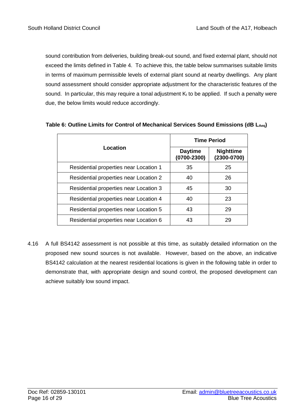sound contribution from deliveries, building break-out sound, and fixed external plant, should not exceed the limits defined in Table 4. To achieve this, the table below summarises suitable limits in terms of maximum permissible levels of external plant sound at nearby dwellings. Any plant sound assessment should consider appropriate adjustment for the characteristic features of the sound. In particular, this may require a tonal adjustment  $K_t$  to be applied. If such a penalty were due, the below limits would reduce accordingly.

|                                        | <b>Time Period</b>                |                                     |  |  |  |
|----------------------------------------|-----------------------------------|-------------------------------------|--|--|--|
| Location                               | <b>Daytime</b><br>$(0700 - 2300)$ | <b>Nighttime</b><br>$(2300 - 0700)$ |  |  |  |
| Residential properties near Location 1 | 35                                | 25                                  |  |  |  |
| Residential properties near Location 2 | 40                                | 26                                  |  |  |  |
| Residential properties near Location 3 | 45                                | 30                                  |  |  |  |
| Residential properties near Location 4 | 40                                | 23                                  |  |  |  |
| Residential properties near Location 5 | 43                                | 29                                  |  |  |  |
| Residential properties near Location 6 | 43                                | 29                                  |  |  |  |

#### **Table 6: Outline Limits for Control of Mechanical Services Sound Emissions (dB LAeq)**

4.16 A full BS4142 assessment is not possible at this time, as suitably detailed information on the proposed new sound sources is not available. However, based on the above, an indicative BS4142 calculation at the nearest residential locations is given in the following table in order to demonstrate that, with appropriate design and sound control, the proposed development can achieve suitably low sound impact.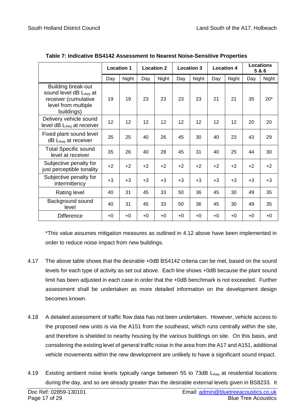|                                                                                                                  | <b>Location 1</b> |       | <b>Location 2</b><br><b>Location 3</b> |       | <b>Location 4</b> |       | <b>Locations</b><br>5&6 |       |      |       |
|------------------------------------------------------------------------------------------------------------------|-------------------|-------|----------------------------------------|-------|-------------------|-------|-------------------------|-------|------|-------|
|                                                                                                                  | Day               | Night | Day                                    | Night | Day               | Night | Day                     | Night | Day  | Night |
| <b>Building break-out</b><br>sound level dB LAeq at<br>receiver (cumulative<br>level from multiple<br>buildings) | 19                | 19    | 23                                     | 23    | 23                | 23    | 21                      | 21    | 35   | $20*$ |
| Delivery vehicle sound<br>level $dB$ $L_{Aeq}$ at receiver                                                       | 12                | 12    | 12                                     | 12    | 12                | 12    | 12                      | 12    | 20   | 20    |
| Fixed plant sound level<br>$dB$ L <sub>Aeq</sub> at receiver                                                     | 35                | 25    | 40                                     | 26    | 45                | 30    | 40                      | 23    | 43   | 29    |
| <b>Total Specific sound</b><br>level at receiver                                                                 | 35                | 26    | 40                                     | 28    | 45                | 31    | 40                      | 25    | 44   | 30    |
| Subjective penalty for<br>just perceptible tonality                                                              | $+2$              | $+2$  | $+2$                                   | $+2$  | $+2$              | $+2$  | $+2$                    | $+2$  | $+2$ | $+2$  |
| Subjective penalty for<br>intermittency                                                                          | $+3$              | $+3$  | $+3$                                   | $+3$  | $+3$              | $+3$  | $+3$                    | $+3$  | $+3$ | $+3$  |
| Rating level                                                                                                     | 40                | 31    | 45                                     | 33    | 50                | 36    | 45                      | 30    | 49   | 35    |
| Background sound<br>level                                                                                        | 40                | 31    | 45                                     | 33    | 50                | 36    | 45                      | 30    | 49   | 35    |
| <b>Difference</b>                                                                                                | $+0$              | $+0$  | $+0$                                   | $+0$  | $+0$              | $+0$  | $+0$                    | $+0$  | $+0$ | $+0$  |

| Table 7: Indicative BS4142 Assessment to Nearest Noise-Sensitive Properties |  |  |
|-----------------------------------------------------------------------------|--|--|
|                                                                             |  |  |

\*This value assumes mitigation measures as outlined in 4.12 above have been implemented in order to reduce noise impact from new buildings.

- 4.17 The above table shows that the desirable +0dB BS4142 criteria can be met, based on the sound levels for each type of activity as set out above. Each line shows +0dB because the plant sound limit has been adjusted in each case in order that the +0dB benchmark is not exceeded. Further assessment shall be undertaken as more detailed information on the development design becomes known.
- 4.18 A detailed assessment of traffic flow data has not been undertaken. However, vehicle access to the proposed new units is via the A151 from the southeast, which runs centrally within the site, and therefore is shielded to nearby housing by the various buildings on site. On this basis, and considering the existing level of general traffic noise in the area from the A17 and A151, additional vehicle movements within the new development are unlikely to have a significant sound impact.
- 4.19 Existing ambient noise levels typically range between 55 to 73dB LAeq at residential locations during the day, and so are already greater than the desirable external levels given in BS8233. It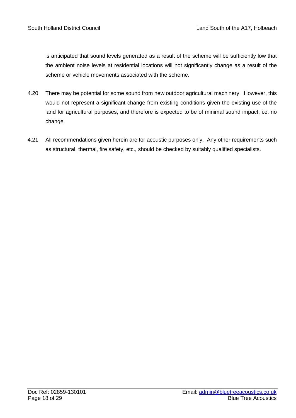is anticipated that sound levels generated as a result of the scheme will be sufficiently low that the ambient noise levels at residential locations will not significantly change as a result of the scheme or vehicle movements associated with the scheme.

- 4.20 There may be potential for some sound from new outdoor agricultural machinery. However, this would not represent a significant change from existing conditions given the existing use of the land for agricultural purposes, and therefore is expected to be of minimal sound impact, i.e. no change.
- 4.21 All recommendations given herein are for acoustic purposes only. Any other requirements such as structural, thermal, fire safety, etc., should be checked by suitably qualified specialists.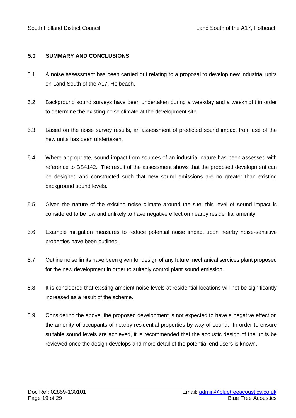#### **5.0 SUMMARY AND CONCLUSIONS**

- 5.1 A noise assessment has been carried out relating to a proposal to develop new industrial units on Land South of the A17, Holbeach.
- 5.2 Background sound surveys have been undertaken during a weekday and a weeknight in order to determine the existing noise climate at the development site.
- 5.3 Based on the noise survey results, an assessment of predicted sound impact from use of the new units has been undertaken.
- 5.4 Where appropriate, sound impact from sources of an industrial nature has been assessed with reference to BS4142. The result of the assessment shows that the proposed development can be designed and constructed such that new sound emissions are no greater than existing background sound levels.
- 5.5 Given the nature of the existing noise climate around the site, this level of sound impact is considered to be low and unlikely to have negative effect on nearby residential amenity.
- 5.6 Example mitigation measures to reduce potential noise impact upon nearby noise-sensitive properties have been outlined.
- 5.7 Outline noise limits have been given for design of any future mechanical services plant proposed for the new development in order to suitably control plant sound emission.
- 5.8 It is considered that existing ambient noise levels at residential locations will not be significantly increased as a result of the scheme.
- 5.9 Considering the above, the proposed development is not expected to have a negative effect on the amenity of occupants of nearby residential properties by way of sound. In order to ensure suitable sound levels are achieved, it is recommended that the acoustic design of the units be reviewed once the design develops and more detail of the potential end users is known.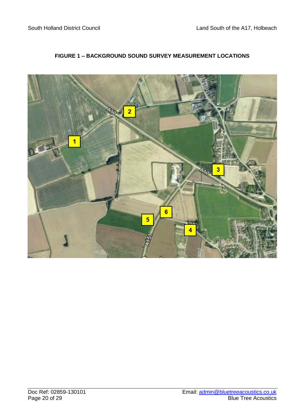

#### **FIGURE 1 – BACKGROUND SOUND SURVEY MEASUREMENT LOCATIONS**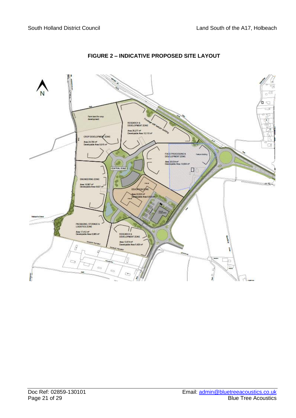

### **FIGURE 2 – INDICATIVE PROPOSED SITE LAYOUT**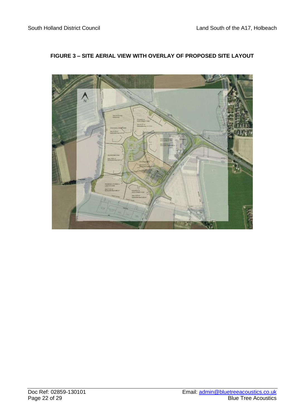

#### **FIGURE 3 – SITE AERIAL VIEW WITH OVERLAY OF PROPOSED SITE LAYOUT**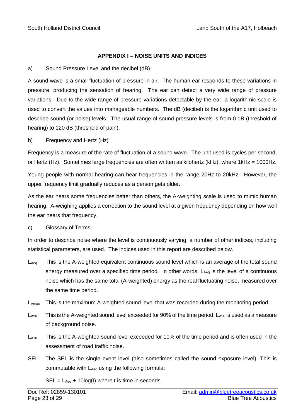#### **APPENDIX I – NOISE UNITS AND INDICES**

#### a) Sound Pressure Level and the decibel (dB)

A sound wave is a small fluctuation of pressure in air. The human ear responds to these variations in pressure, producing the sensation of hearing. The ear can detect a very wide range of pressure variations. Due to the wide range of pressure variations detectable by the ear, a logarithmic scale is used to convert the values into manageable numbers. The dB (decibel) is the logarithmic unit used to describe sound (or noise) levels. The usual range of sound pressure levels is from 0 dB (threshold of hearing) to 120 dB (threshold of pain).

b) Frequency and Hertz (Hz)

Frequency is a measure of the rate of fluctuation of a sound wave. The unit used is cycles per second, or Hertz (Hz). Sometimes large frequencies are often written as kilohertz (kHz), where 1kHz = 1000Hz.

Young people with normal hearing can hear frequencies in the range 20Hz to 20kHz. However, the upper frequency limit gradually reduces as a person gets older.

As the ear hears some frequencies better than others, the A-weighting scale is used to mimic human hearing. A-weighing applies a correction to the sound level at a given frequency depending on how well the ear hears that frequency.

#### c) Glossary of Terms

In order to describe noise where the level is continuously varying, a number of other indices, including statistical parameters, are used. The indices used in this report are described below.

- L<sub>Aeq</sub> This is the A-weighted equivalent continuous sound level which is an average of the total sound energy measured over a specified time period. In other words,  $L_{Aeq}$  is the level of a continuous noise which has the same total (A-weighted) energy as the real fluctuating noise, measured over the same time period.
- LAmax This is the maximum A-weighted sound level that was recorded during the monitoring period.
- $L_{A90}$  This is the A-weighted sound level exceeded for 90% of the time period.  $L_{A90}$  is used as a measure of background noise.
- L<sub>A10</sub> This is the A-weighted sound level exceeded for 10% of the time period and is often used in the assessment of road traffic noise.
- SEL The SEL is the single event level (also sometimes called the sound exposure level). This is commutable with LAeq using the following formula:

 $SEL = L_{Aeq} + 10log(t)$  where t is time in seconds.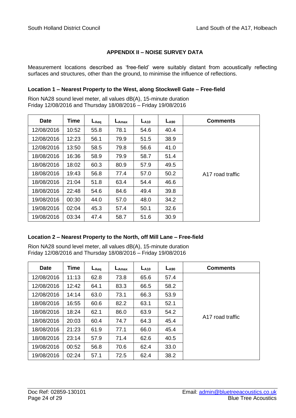#### **APPENDIX II – NOISE SURVEY DATA**

Measurement locations described as 'free-field' were suitably distant from acoustically reflecting surfaces and structures, other than the ground, to minimise the influence of reflections.

#### **Location 1 – Nearest Property to the West, along Stockwell Gate – Free-field**

Rion NA28 sound level meter, all values dB(A), 15-minute duration Friday 12/08/2016 and Thursday 18/08/2016 – Friday 19/08/2016

| <b>Date</b> | Time  | $L_{Aeq}$ | $L_{Amax}$ | $L_{A10}$ | $L_{A90}$ | <b>Comments</b>  |
|-------------|-------|-----------|------------|-----------|-----------|------------------|
| 12/08/2016  | 10:52 | 55.8      | 78.1       | 54.6      | 40.4      |                  |
| 12/08/2016  | 12:23 | 56.1      | 79.9       | 51.5      | 38.9      |                  |
| 12/08/2016  | 13:50 | 58.5      | 79.8       | 56.6      | 41.0      |                  |
| 18/08/2016  | 16:36 | 58.9      | 79.9       | 58.7      | 51.4      |                  |
| 18/08/2016  | 18:02 | 60.3      | 80.9       | 57.9      | 49.5      |                  |
| 18/08/2016  | 19:43 | 56.8      | 77.4       | 57.0      | 50.2      | A17 road traffic |
| 18/08/2016  | 21:04 | 51.8      | 63.4       | 54.4      | 46.6      |                  |
| 18/08/2016  | 22:48 | 54.6      | 84.6       | 49.4      | 39.8      |                  |
| 19/08/2016  | 00:30 | 44.0      | 57.0       | 48.0      | 34.2      |                  |
| 19/08/2016  | 02:04 | 45.3      | 57.4       | 50.1      | 32.6      |                  |
| 19/08/2016  | 03:34 | 47.4      | 58.7       | 51.6      | 30.9      |                  |

#### **Location 2 – Nearest Property to the North, off Mill Lane – Free-field**

Rion NA28 sound level meter, all values dB(A), 15-minute duration Friday 12/08/2016 and Thursday 18/08/2016 – Friday 19/08/2016

| <b>Date</b> | Time  | $L_{Aeq}$ | $L_{\text{Amax}}$ | $L_{A10}$ | $L_{A90}$ | <b>Comments</b>  |
|-------------|-------|-----------|-------------------|-----------|-----------|------------------|
| 12/08/2016  | 11:13 | 62.8      | 73.8              | 65.6      | 57.4      |                  |
| 12/08/2016  | 12:42 | 64.1      | 83.3              | 66.5      | 58.2      |                  |
| 12/08/2016  | 14:14 | 63.0      | 73.1              | 66.3      | 53.9      |                  |
| 18/08/2016  | 16:55 | 60.6      | 82.2              | 63.1      | 52.1      |                  |
| 18/08/2016  | 18:24 | 62.1      | 86.0              | 63.9      | 54.2      |                  |
| 18/08/2016  | 20:03 | 60.4      | 74.7              | 64.3      | 45.4      | A17 road traffic |
| 18/08/2016  | 21:23 | 61.9      | 77.1              | 66.0      | 45.4      |                  |
| 18/08/2016  | 23:14 | 57.9      | 71.4              | 62.6      | 40.5      |                  |
| 19/08/2016  | 00:52 | 56.8      | 70.6              | 62.4      | 33.0      |                  |
| 19/08/2016  | 02:24 | 57.1      | 72.5              | 62.4      | 38.2      |                  |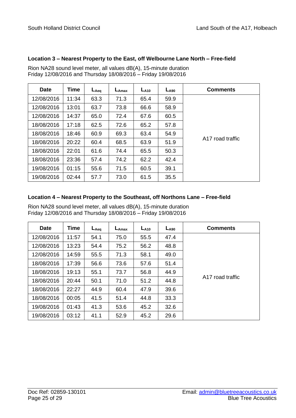#### **Location 3 – Nearest Property to the East, off Welbourne Lane North – Free-field**

Rion NA28 sound level meter, all values dB(A), 15-minute duration Friday 12/08/2016 and Thursday 18/08/2016 – Friday 19/08/2016

| <b>Date</b> | Time  | $L_{Aeq}$ | $L_{\text{Amax}}$ | $L_{A10}$ | $L_{A90}$ | <b>Comments</b>  |
|-------------|-------|-----------|-------------------|-----------|-----------|------------------|
| 12/08/2016  | 11:34 | 63.3      | 71.3              | 65.4      | 59.9      |                  |
| 12/08/2016  | 13:01 | 63.7      | 73.8              | 66.6      | 58.9      |                  |
| 12/08/2016  | 14:37 | 65.0      | 72.4              | 67.6      | 60.5      |                  |
| 18/08/2016  | 17:18 | 62.5      | 72.6              | 65.2      | 57.8      |                  |
| 18/08/2016  | 18:46 | 60.9      | 69.3              | 63.4      | 54.9      |                  |
| 18/08/2016  | 20:22 | 60.4      | 68.5              | 63.9      | 51.9      | A17 road traffic |
| 18/08/2016  | 22:01 | 61.6      | 74.4              | 65.5      | 50.3      |                  |
| 18/08/2016  | 23:36 | 57.4      | 74.2              | 62.2      | 42.4      |                  |
| 19/08/2016  | 01:15 | 55.6      | 71.5              | 60.5      | 39.1      |                  |
| 19/08/2016  | 02:44 | 57.7      | 73.0              | 61.5      | 35.5      |                  |

#### **Location 4 – Nearest Property to the Southeast, off Northons Lane – Free-field**

Rion NA28 sound level meter, all values dB(A), 15-minute duration Friday 12/08/2016 and Thursday 18/08/2016 – Friday 19/08/2016

| <b>Date</b> | <b>Time</b> | $L_{Aeq}$ | $L_{Amax}$ | $L_{A10}$ | $L_{A90}$ | <b>Comments</b>  |
|-------------|-------------|-----------|------------|-----------|-----------|------------------|
| 12/08/2016  | 11:57       | 54.1      | 75.0       | 55.5      | 47.4      |                  |
| 12/08/2016  | 13:23       | 54.4      | 75.2       | 56.2      | 48.8      |                  |
| 12/08/2016  | 14:59       | 55.5      | 71.3       | 58.1      | 49.0      |                  |
| 18/08/2016  | 17:39       | 56.6      | 73.6       | 57.6      | 51.4      |                  |
| 18/08/2016  | 19:13       | 55.1      | 73.7       | 56.8      | 44.9      |                  |
| 18/08/2016  | 20:44       | 50.1      | 71.0       | 51.2      | 44.8      | A17 road traffic |
| 18/08/2016  | 22:27       | 44.9      | 60.4       | 47.9      | 39.6      |                  |
| 18/08/2016  | 00:05       | 41.5      | 51.4       | 44.8      | 33.3      |                  |
| 19/08/2016  | 01:43       | 41.3      | 53.6       | 45.2      | 32.6      |                  |
| 19/08/2016  | 03:12       | 41.1      | 52.9       | 45.2      | 29.6      |                  |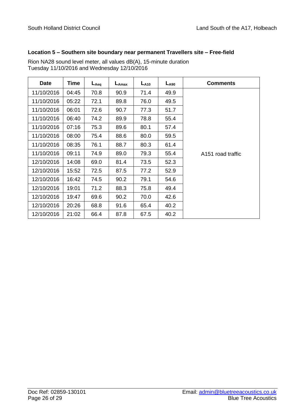#### **Location 5 – Southern site boundary near permanent Travellers site – Free-field**

| <b>Date</b> | <b>Time</b> | $L_{Aeq}$ | $L_{\text{Amax}}$ | $L_{A10}$ | $L_{A90}$ | <b>Comments</b>               |
|-------------|-------------|-----------|-------------------|-----------|-----------|-------------------------------|
| 11/10/2016  | 04:45       | 70.8      | 90.9              | 71.4      | 49.9      |                               |
| 11/10/2016  | 05:22       | 72.1      | 89.8              | 76.0      | 49.5      |                               |
| 11/10/2016  | 06:01       | 72.6      | 90.7              | 77.3      | 51.7      |                               |
| 11/10/2016  | 06:40       | 74.2      | 89.9              | 78.8      | 55.4      |                               |
| 11/10/2016  | 07:16       | 75.3      | 89.6              | 80.1      | 57.4      |                               |
| 11/10/2016  | 08:00       | 75.4      | 88.6              | 80.0      | 59.5      |                               |
| 11/10/2016  | 08:35       | 76.1      | 88.7              | 80.3      | 61.4      |                               |
| 11/10/2016  | 09:11       | 74.9      | 89.0              | 79.3      | 55.4      | A <sub>151</sub> road traffic |
| 12/10/2016  | 14:08       | 69.0      | 81.4              | 73.5      | 52.3      |                               |
| 12/10/2016  | 15:52       | 72.5      | 87.5              | 77.2      | 52.9      |                               |
| 12/10/2016  | 16:42       | 74.5      | 90.2              | 79.1      | 54.6      |                               |
| 12/10/2016  | 19:01       | 71.2      | 88.3              | 75.8      | 49.4      |                               |
| 12/10/2016  | 19:47       | 69.6      | 90.2              | 70.0      | 42.6      |                               |
| 12/10/2016  | 20:26       | 68.8      | 91.6              | 65.4      | 40.2      |                               |
| 12/10/2016  | 21:02       | 66.4      | 87.8              | 67.5      | 40.2      |                               |

Rion NA28 sound level meter, all values dB(A), 15-minute duration Tuesday 11/10/2016 and Wednesday 12/10/2016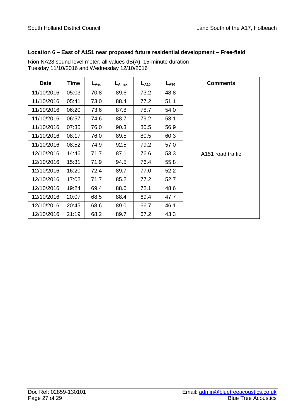#### **Location 6 – East of A151 near proposed future residential development – Free-field**

| <b>Date</b> | Time  | $L_{Aeq}$ | $L_{\text{Amax}}$ | $L_{A10}$ | $L_{A90}$ | <b>Comments</b>   |
|-------------|-------|-----------|-------------------|-----------|-----------|-------------------|
| 11/10/2016  | 05:03 | 70.8      | 89.6              | 73.2      | 48.8      |                   |
| 11/10/2016  | 05:41 | 73.0      | 88.4              | 77.2      | 51.1      |                   |
| 11/10/2016  | 06:20 | 73.6      | 87.8              | 78.7      | 54.0      |                   |
| 11/10/2016  | 06:57 | 74.6      | 88.7              | 79.2      | 53.1      |                   |
| 11/10/2016  | 07:35 | 76.0      | 90.3              | 80.5      | 56.9      |                   |
| 11/10/2016  | 08:17 | 76.0      | 89.5              | 80.5      | 60.3      |                   |
| 11/10/2016  | 08:52 | 74.9      | 92.5              | 79.2      | 57.0      |                   |
| 12/10/2016  | 14:46 | 71.7      | 87.1              | 76.6      | 53.3      | A151 road traffic |
| 12/10/2016  | 15:31 | 71.9      | 94.5              | 76.4      | 55.8      |                   |
| 12/10/2016  | 16:20 | 72.4      | 89.7              | 77.0      | 52.2      |                   |
| 12/10/2016  | 17:02 | 71.7      | 85.2              | 77.2      | 52.7      |                   |
| 12/10/2016  | 19:24 | 69.4      | 88.6              | 72.1      | 48.6      |                   |
| 12/10/2016  | 20:07 | 68.5      | 88.4              | 69.4      | 47.7      |                   |
| 12/10/2016  | 20:45 | 68.6      | 89.0              | 66.7      | 46.1      |                   |
| 12/10/2016  | 21:19 | 68.2      | 89.7              | 67.2      | 43.3      |                   |

Rion NA28 sound level meter, all values dB(A), 15-minute duration Tuesday 11/10/2016 and Wednesday 12/10/2016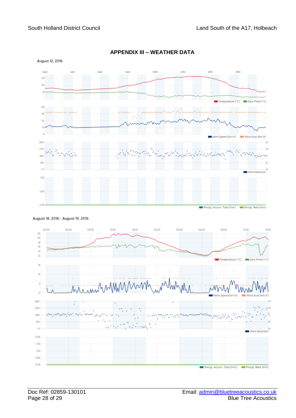

#### **APPENDIX III – WEATHER DATA**

August 18, 2016 - August 19, 2016